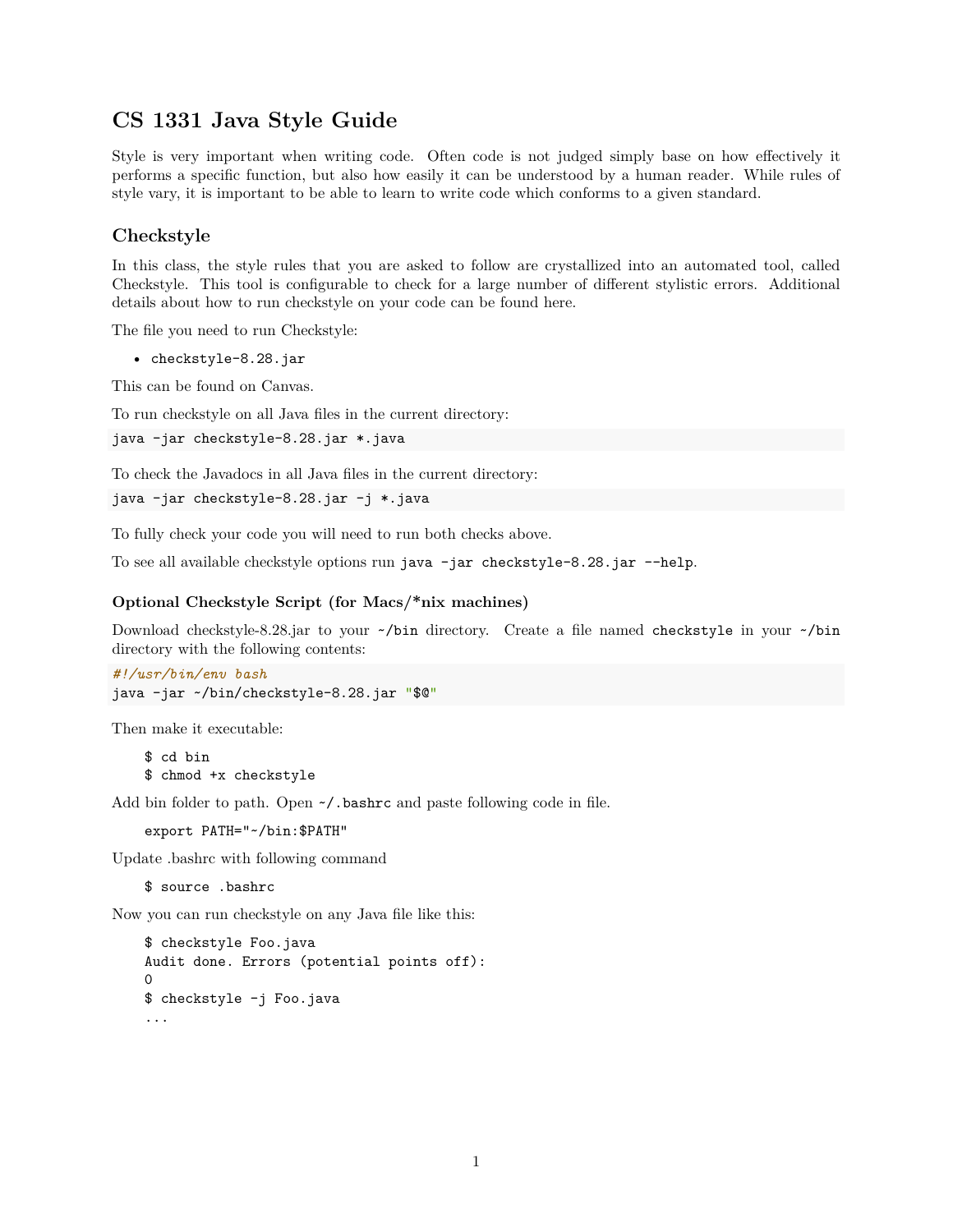# **CS 1331 Java Style Guide**

Style is very important when writing code. Often code is not judged simply base on how effectively it performs a specific function, but also how easily it can be understood by a human reader. While rules of style vary, it is important to be able to learn to write code which conforms to a given standard.

# **Checkstyle**

In this class, the style rules that you are asked to follow are crystallized into an automated tool, called Checkstyle. This tool is configurable to check for a large number of different stylistic errors. Additional details about how to run checkstyle on your code can be found here.

The file you need to run Checkstyle:

• checkstyle-8.28.jar

This can be found on Canvas.

To run checkstyle on all Java files in the current directory:

```
java -jar checkstyle-8.28.jar *.java
```
To check the Javadocs in all Java files in the current directory:

```
java -jar checkstyle-8.28.jar -j *.java
```
To fully check your code you will need to run both checks above.

To see all available checkstyle options run java -jar checkstyle-8.28.jar --help.

#### **Optional Checkstyle Script (for Macs/\*nix machines)**

Download checkstyle-8.28.jar to your ~/bin directory. Create a file named checkstyle in your ~/bin directory with the following contents:

```
#!/usr/bin/env bash
java -jar ~/bin/checkstyle-8.28.jar "$@"
```
Then make it executable:

\$ cd bin \$ chmod +x checkstyle

Add bin folder to path. Open  $\sim$ /.bashrc and paste following code in file.

export PATH="~/bin:\$PATH"

Update .bashrc with following command

\$ source .bashrc

Now you can run checkstyle on any Java file like this:

```
$ checkstyle Foo.java
Audit done. Errors (potential points off):
\Omega$ checkstyle -j Foo.java
...
```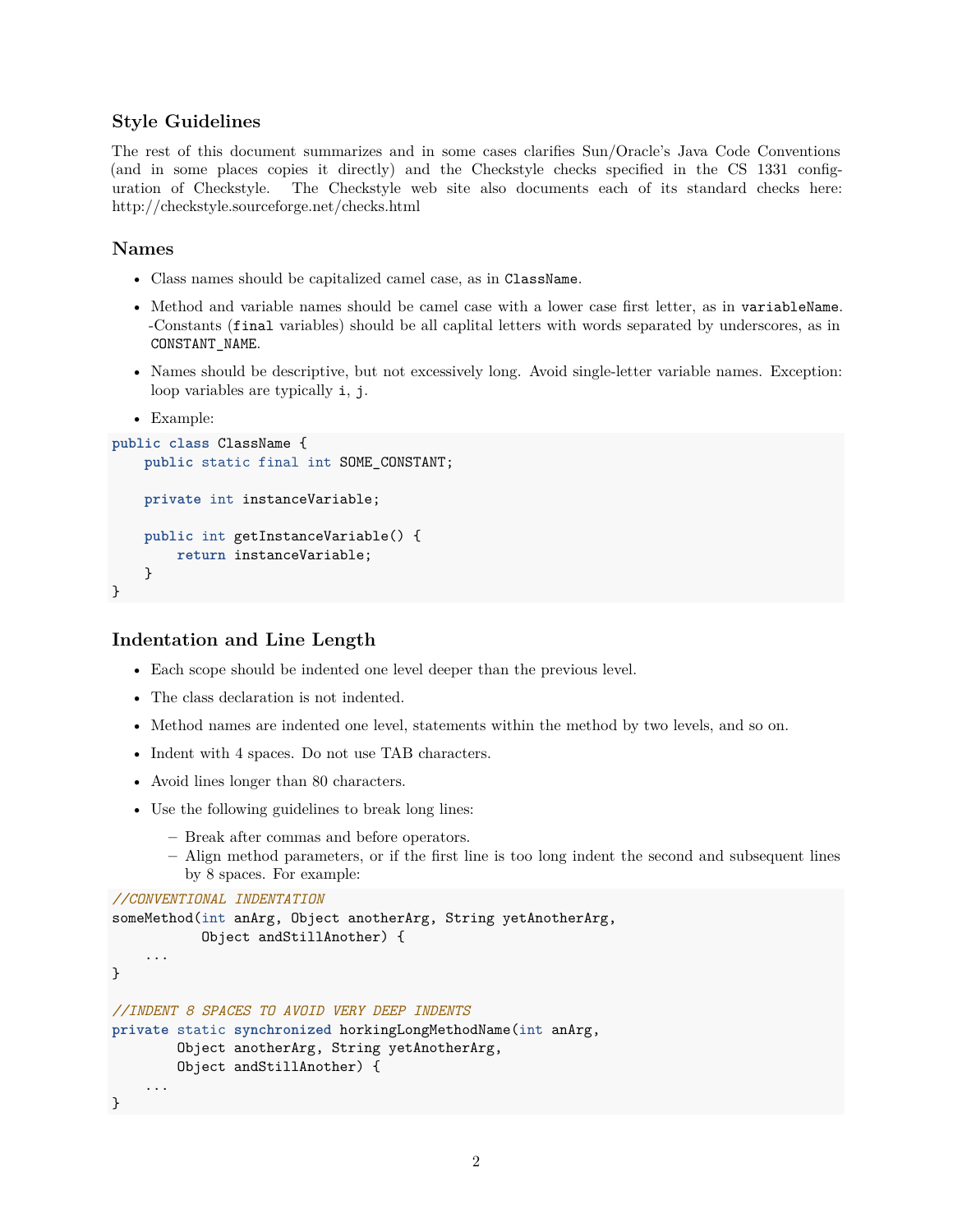## **Style Guidelines**

The rest of this document summarizes and in some cases clarifies Sun/Oracle's Java Code Conventions (and in some places copies it directly) and the Checkstyle checks specified in the CS 1331 configuration of Checkstyle. The Checkstyle web site also documents each of its standard checks here: http://checkstyle.sourceforge.net/checks.html

#### **Names**

- Class names should be capitalized camel case, as in ClassName.
- Method and variable names should be camel case with a lower case first letter, as in variableName. -Constants (final variables) should be all caplital letters with words separated by underscores, as in CONSTANT\_NAME.
- Names should be descriptive, but not excessively long. Avoid single-letter variable names. Exception: loop variables are typically i, j.
- Example:

```
public class ClassName {
   public static final int SOME_CONSTANT;
   private int instanceVariable;
   public int getInstanceVariable() {
        return instanceVariable;
    }
}
```
#### **Indentation and Line Length**

- Each scope should be indented one level deeper than the previous level.
- The class declaration is not indented.
- Method names are indented one level, statements within the method by two levels, and so on.
- Indent with 4 spaces. Do not use TAB characters.
- Avoid lines longer than 80 characters.
- Use the following guidelines to break long lines:
	- **–** Break after commas and before operators.
	- **–** Align method parameters, or if the first line is too long indent the second and subsequent lines by 8 spaces. For example:

```
//CONVENTIONAL INDENTATION
someMethod(int anArg, Object anotherArg, String yetAnotherArg,
           Object andStillAnother) {
    ...
}
//INDENT 8 SPACES TO AVOID VERY DEEP INDENTS
private static synchronized horkingLongMethodName(int anArg,
        Object anotherArg, String yetAnotherArg,
        Object andStillAnother) {
    ...
}
```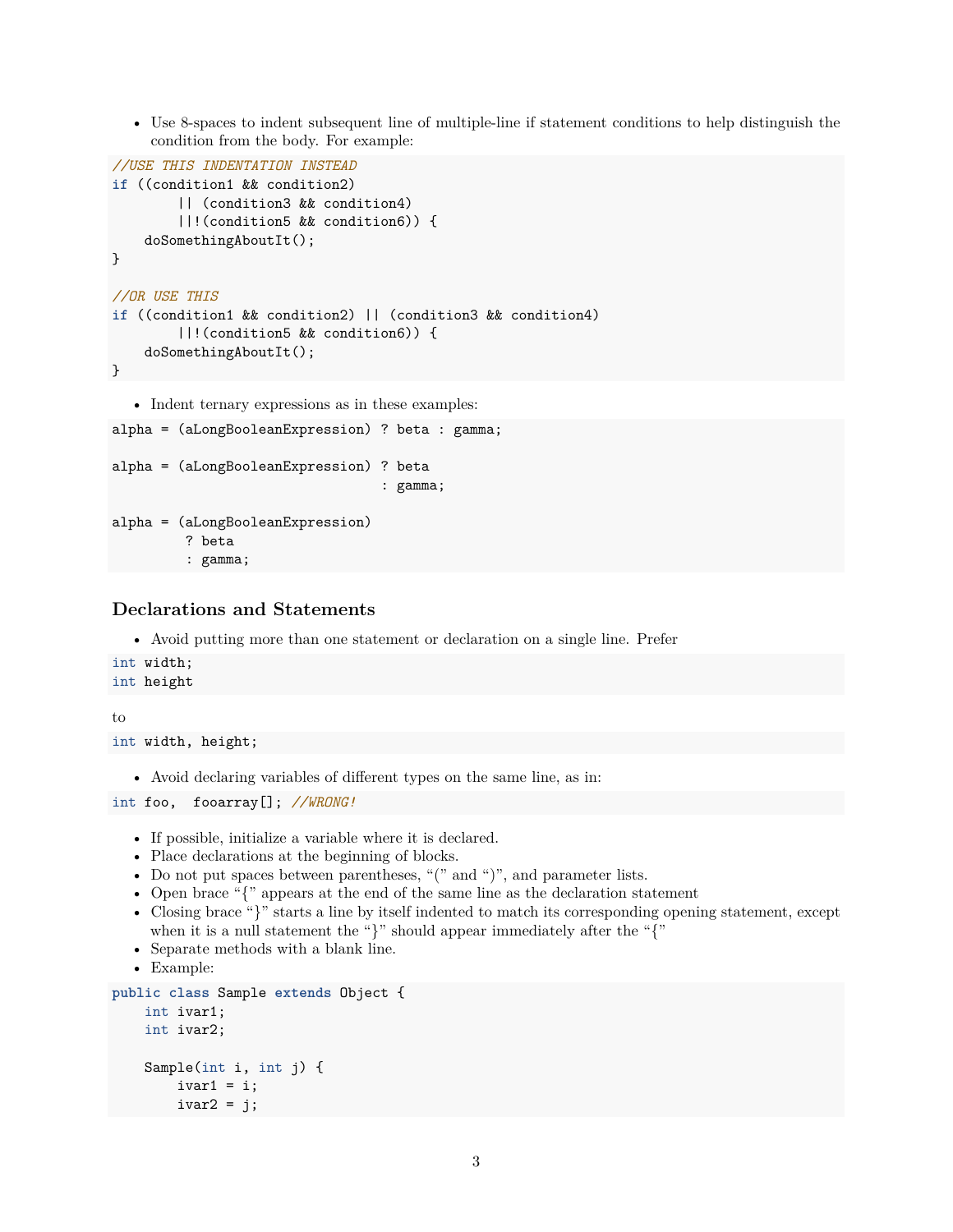• Use 8-spaces to indent subsequent line of multiple-line if statement conditions to help distinguish the condition from the body. For example:

```
//USE THIS INDENTATION INSTEAD
if ((condition1 && condition2)
        || (condition3 && condition4)
        ||!(condition5 && condition6)) {
    doSomethingAboutIt();
}
//OR USE THIS
if ((condition1 && condition2) || (condition3 && condition4)
        ||!(condition5 && condition6)) {
    doSomethingAboutIt();
}
  • Indent ternary expressions as in these examples:
alpha = (aLongBooleanExpression) ? beta : gamma;
alpha = (aLongBooleanExpression) ? beta
                                  : gamma;
alpha = (aLongBooleanExpression)
         ? beta
```

```
: gamma;
```
### **Declarations and Statements**

• Avoid putting more than one statement or declaration on a single line. Prefer

```
int width;
int height
```
to

```
int width, height;
```
• Avoid declaring variables of different types on the same line, as in:

```
int foo, fooarray[]; //WRONG!
```
- If possible, initialize a variable where it is declared.
- Place declarations at the beginning of blocks.
- Do not put spaces between parentheses, "(" and ")", and parameter lists.
- Open brace "{" appears at the end of the same line as the declaration statement
- Closing brace "}" starts a line by itself indented to match its corresponding opening statement, except when it is a null statement the "}" should appear immediately after the "{"
- Separate methods with a blank line.
- Example:

```
public class Sample extends Object {
   int ivar1;
   int ivar2;
   Sample(int i, int j) {
        ivart = i;ivar2 = j;
```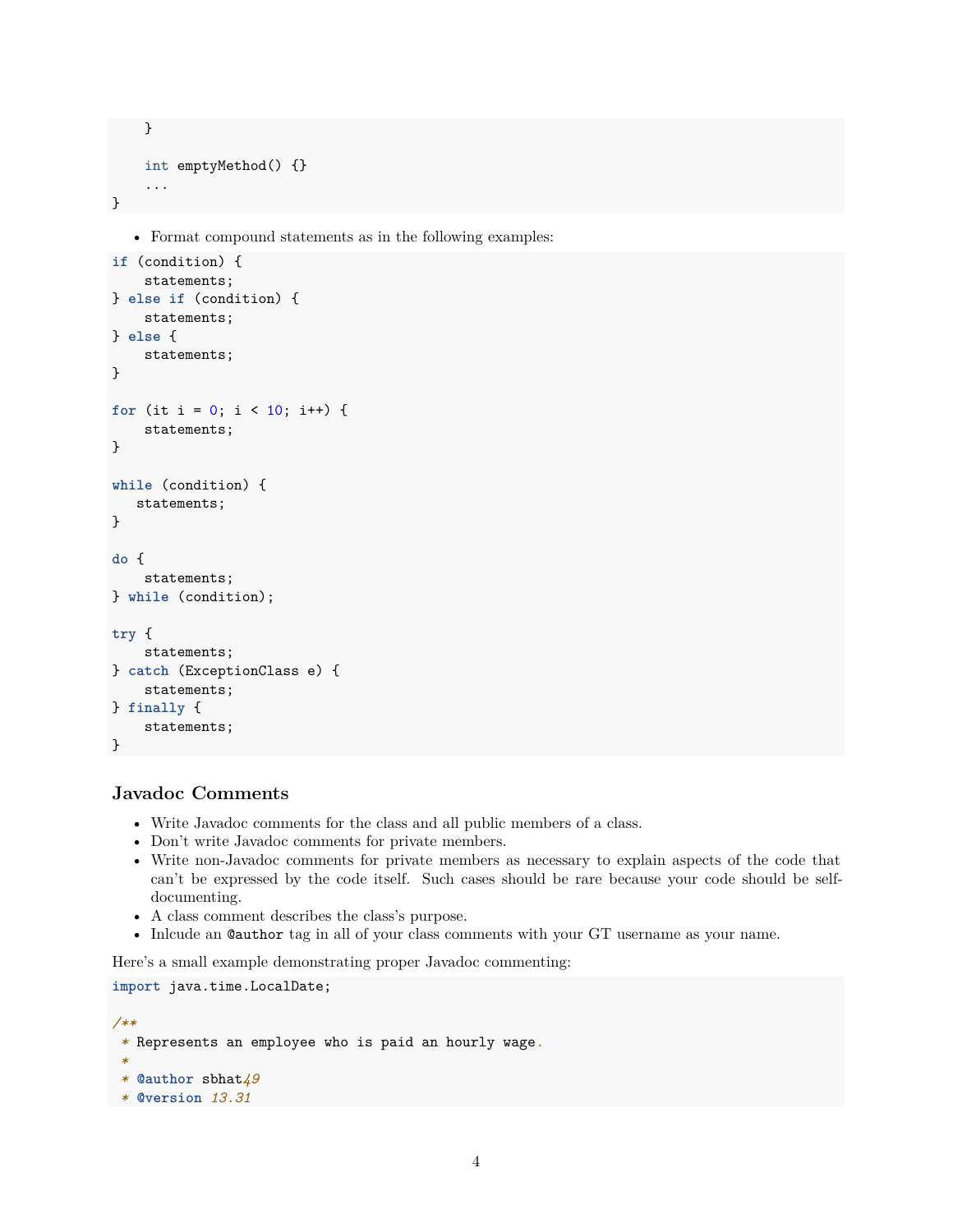```
}
    int emptyMethod() {}
    ...
}
```
• Format compound statements as in the following examples:

```
if (condition) {
    statements;
} else if (condition) {
    statements;
} else {
    statements;
}
for (it i = 0; i < 10; i++) {
    statements;
}
while (condition) {
   statements;
}
do {
    statements;
} while (condition);
try {
    statements;
} catch (ExceptionClass e) {
    statements;
} finally {
    statements;
}
```
# **Javadoc Comments**

- Write Javadoc comments for the class and all public members of a class.
- Don't write Javadoc comments for private members.
- Write non-Javadoc comments for private members as necessary to explain aspects of the code that can't be expressed by the code itself. Such cases should be rare because your code should be selfdocumenting.
- A class comment describes the class's purpose.
- Inlcude an @author tag in all of your class comments with your GT username as your name.

Here's a small example demonstrating proper Javadoc commenting:

**import** java.time.LocalDate;

```
/**
 * Represents an employee who is paid an hourly wage.
 *
 * @author sbhat49
 * @version 13.31
```